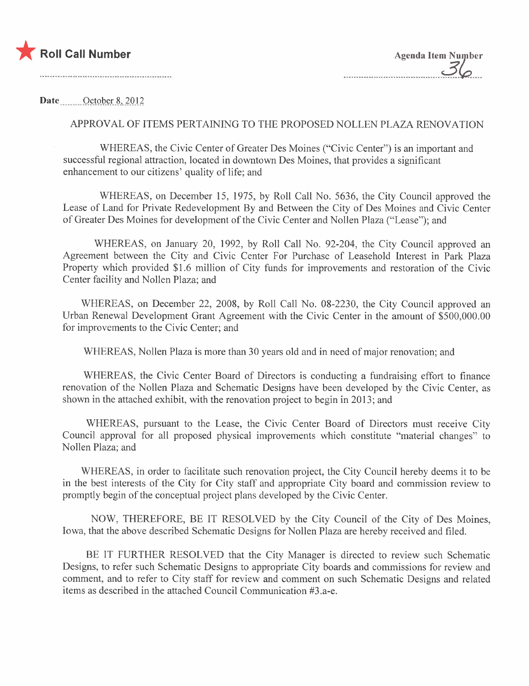

Date October 8, 2012

## APPROV AL OF ITEMS PERTAINING TO THE PROPOSED NOLLEN PLAZA RENOVATION

WHEREAS, the Civic Center of Greater Des Moines ("Civic Center") is an important and successful regional attraction, located in downtown Des Moines, that provides a significant enhancement to our citizens' quality of life; and

WHEREAS, on December 15, 1975, by Roll Call No. 5636, the City Council approved the Lease of Land for Private Redevelopment By and Between the City of Des Moines and Civic Center of Greater Des Moines for development of the Civic Center and Nollen Plaza ("Lease"); and

WHEREAS, on January 20, 1992, by Roll Call No. 92-204, the City Council approved an Agreement between the City and Civic Center For Purchase of Leasehold Interest in Park Plaza Property which provided \$1.6 million of City funds for improvements and restoration of the Civic Center facility and Nollen Plaza; and

WHEREAS, on December 22, 2008, by Roll Call No. 08-2230, the City Council approved an Urban Renewal Development Grant Agreement with the Civic Center in the amount of \$500,000.00 for improvements to the Civic Center; and

WHEREAS, Nollen Plaza is more than 30 years old and in need of major renovation; and

WHEREAS, the Civic Center Board of Directors is conducting a fundraising effort to finance renovation of the Nollen Plaza and Schematic Designs have been developed by the Civic Center, as shown in the attached exhibit, with the renovation project to begin in 2013; and

WHEREAS, pursuant to the Lease, the Civic Center Board of Directors must receive City Council approval for all proposed physical improvements which constitute "material changes" to Nollen Plaza; and

WHEREAS, in order to facilitate such renovation project, the City Council hereby deems it to be in the best interests of the City for City staff and appropriate City board and commission review to promptly begin of the conceptual project plans developed by the Civic Center.

NOW, THEREFORE, BE IT RESOLVED by the City Council of the City of Des Moines, Iowa, that the above described Schematic Designs for Nollen Plaza are hereby received and fied.

BE IT FURTHER RESOLVED that the City Manager is directed to review such Schematic Designs, to refer such Schematic Designs to appropriate City boards and commissions for review and comment, and to refer to City staff for review and comment on such Schematic Designs and related items as described in the attached Council Communication #3.a-e.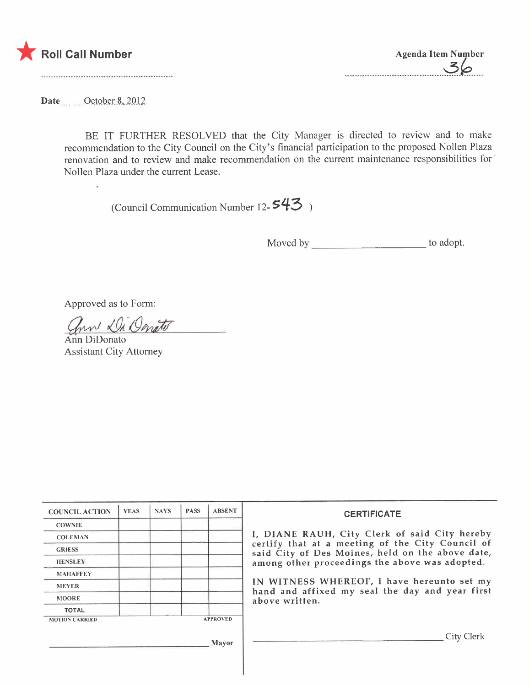

----------------------------------------~\_??..\_--

Date \_\_\_\_\_\_\_October 8, 2012

 $\ddot{\phantom{a}}$ 

BE IT FURTHER RESOLVED that the City Manager is directed to review and to make recommendation to the City Council on the City's financial participation to the proposed Nollen Plaza renovation and to review and make recommendation on the current maintenance responsibilities for' Nollen Plaza under the current Lease.

(Council Communication Number 12- $543$ )

Moved by to adopt.

Approved as to Form:

ann Di Onato

Ann DiDonato Assistant City Attorney

| <b>COUNCIL ACTION</b>                                    | <b>YEAS</b> | <b>NAYS</b> | <b>PASS</b> | <b>ABSENT</b> | <b>CERTIFICATE</b><br>I, DIANE RAUH, City Clerk of said City hereby<br>certify that at a meeting of the City Council of<br>said City of Des Moines, held on the above date,<br>among other proceedings the above was adopted. |  |  |
|----------------------------------------------------------|-------------|-------------|-------------|---------------|-------------------------------------------------------------------------------------------------------------------------------------------------------------------------------------------------------------------------------|--|--|
| <b>COWNIE</b>                                            |             |             |             |               |                                                                                                                                                                                                                               |  |  |
| <b>COLEMAN</b>                                           |             |             |             |               |                                                                                                                                                                                                                               |  |  |
| <b>GRIESS</b>                                            |             |             |             |               |                                                                                                                                                                                                                               |  |  |
| <b>HENSLEY</b>                                           |             |             |             |               |                                                                                                                                                                                                                               |  |  |
| <b>MAHAFFEY</b>                                          |             |             |             |               |                                                                                                                                                                                                                               |  |  |
| <b>MEYER</b>                                             |             |             |             |               | IN WITNESS WHEREOF, I have hereunto set my<br>hand and affixed my seal the day and year first<br>above written.                                                                                                               |  |  |
| <b>MOORE</b>                                             |             |             |             |               |                                                                                                                                                                                                                               |  |  |
| <b>TOTAL</b>                                             |             |             |             |               |                                                                                                                                                                                                                               |  |  |
| <b>APPROVED</b><br><b>MOTION CARRIED</b><br><b>Mayor</b> |             |             |             |               |                                                                                                                                                                                                                               |  |  |
|                                                          |             |             |             |               | City Clerk                                                                                                                                                                                                                    |  |  |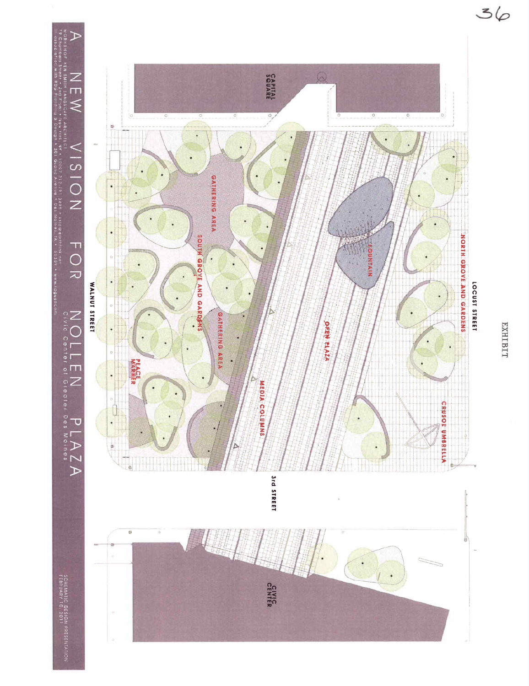

**EXHIBIT**